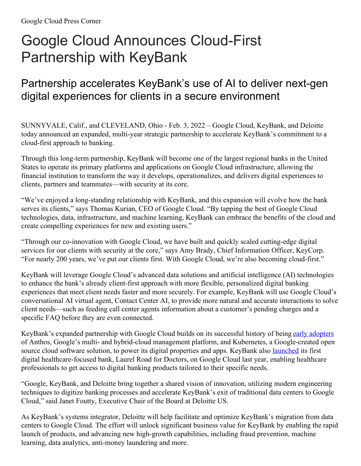# Google Cloud Announces Cloud-First Partnership with KeyBank

## Partnership accelerates KeyBank's use of AI to deliver next-gen digital experiences for clients in a secure environment

SUNNYVALE, Calif., and CLEVELAND, Ohio - Feb. 3, 2022 – Google Cloud, KeyBank, and Deloitte today announced an expanded, multi-year strategic partnership to accelerate KeyBank's commitment to a cloud-first approach to banking.

Through this long-term partnership, KeyBank will become one of the largest regional banks in the United States to operate its primary platforms and applications on Google Cloud infrastructure, allowing the financial institution to transform the way it develops, operationalizes, and delivers digital experiences to clients, partners and teammates—with security at its core.

"We've enjoyed a long-standing relationship with KeyBank, and this expansion will evolve how the bank serves its clients," says Thomas Kurian, CEO of Google Cloud. "By tapping the best of Google Cloud technologies, data, infrastructure, and machine learning, KeyBank can embrace the benefits of the cloud and create compelling experiences for new and existing users."

"Through our co-innovation with Google Cloud, we have built and quickly scaled cutting-edge digital services for our clients with security at the core," says Amy Brady, Chief Information Officer, KeyCorp. "For nearly 200 years, we've put our clients first. With Google Cloud, we're also becoming cloud-first."

KeyBank will leverage Google Cloud's advanced data solutions and artificial intelligence (AI) technologies to enhance the bank's already client-first approach with more flexible, personalized digital banking experiences that meet client needs faster and more securely. For example, KeyBank will use Google Cloud's conversational AI virtual agent, Contact Center AI, to provide more natural and accurate interactions to solve client needs—such as feeding call center agents information about a customer's pending charges and a specific FAQ before they are even connected.

KeyBank's expanded partnership with Google Cloud builds on its successful history of being early [adopters](https://cloud.google.com/blog/topics/hybrid-cloud/keybank-chooses-anthos-to-develop-personalized-banking-solutions-for-its-customers) of Anthos, Google's multi- and hybrid-cloud management platform, and Kubernetes, a Google-created open source cloud software solution, to power its digital properties and apps. KeyBank also [launched](https://www.laurelroad.com/press/keybank-and-laurel-road-launch-digital-bank-for-doctors/) its first digital healthcare-focused bank, Laurel Road for Doctors, on Google Cloud last year, enabling healthcare professionals to get access to digital banking products tailored to their specific needs.

"Google, KeyBank, and Deloitte bring together a shared vision of innovation, utilizing modern engineering techniques to digitize banking processes and accelerate KeyBank's exit of traditional data centers to Google Cloud," said Janet Foutty, Executive Chair of the Board at Deloitte US.

As KeyBank's systems integrator, Deloitte will help facilitate and optimize KeyBank's migration from data centers to Google Cloud. The effort will unlock significant business value for KeyBank by enabling the rapid launch of products, and advancing new high-growth capabilities, including fraud prevention, machine learning, data analytics, anti-money laundering and more.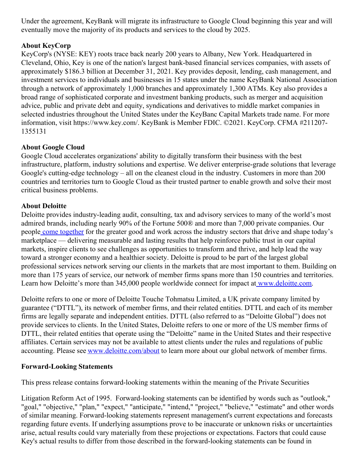Under the agreement, KeyBank will migrate its infrastructure to Google Cloud beginning this year and will eventually move the majority of its products and services to the cloud by 2025.

#### **About KeyCorp**

KeyCorp's (NYSE: KEY) roots trace back nearly 200 years to Albany, New York. Headquartered in Cleveland, Ohio, Key is one of the nation's largest bank-based financial services companies, with assets of approximately \$186.3 billion at December 31, 2021. Key provides deposit, lending, cash management, and investment services to individuals and businesses in 15 states under the name KeyBank National Association through a network of approximately 1,000 branches and approximately 1,300 ATMs. Key also provides a broad range of sophisticated corporate and investment banking products, such as merger and acquisition advice, public and private debt and equity, syndications and derivatives to middle market companies in selected industries throughout the United States under the KeyBanc Capital Markets trade name. For more information, visit https://www.key.com/. KeyBank is Member FDIC. ©2021. KeyCorp. CFMA #211207- 1355131

### **About Google Cloud**

Google Cloud accelerates organizations' ability to digitally transform their business with the best infrastructure, platform, industry solutions and expertise. We deliver enterprise-grade solutions that leverage Google's cutting-edge technology – all on the cleanest cloud in the industry. Customers in more than 200 countries and territories turn to Google Cloud as their trusted partner to enable growth and solve their most critical business problems.

### **About Deloitte**

Deloitte provides industry-leading audit, consulting, tax and advisory services to many of the world's most admired brands, including nearly 90% of the Fortune 500® and more than 7,000 private companies. Our people come [together](https://www2.deloitte.com/us/en/pages/about-deloitte/articles/come-together-corporate-social-impact.html?id=us:2el:3pr:cometog:awa:greendot:11112020:boilerplate) for the greater good and work across the industry sectors that drive and shape today's marketplace — delivering measurable and lasting results that help reinforce public trust in our capital markets, inspire clients to see challenges as opportunities to transform and thrive, and help lead the way toward a stronger economy and a healthier society. Deloitte is proud to be part of the largest global professional services network serving our clients in the markets that are most important to them. Building on more than 175 years of service, our network of member firms spans more than 150 countries and territories. Learn how Deloitte's more than 345,000 people worldwide connect for impact at [www.deloitte.com](http://www.deloitte.com/).

Deloitte refers to one or more of Deloitte Touche Tohmatsu Limited, a UK private company limited by guarantee ("DTTL"), its network of member firms, and their related entities. DTTL and each of its member firms are legally separate and independent entities. DTTL (also referred to as "Deloitte Global") does not provide services to clients. In the United States, Deloitte refers to one or more of the US member firms of DTTL, their related entities that operate using the "Deloitte" name in the United States and their respective affiliates. Certain services may not be available to attest clients under the rules and regulations of public accounting. Please see [www.deloitte.com/about](https://www2.deloitte.com/us/en/legal/about-deloitte.html) to learn more about our global network of member firms.

#### **Forward-Looking Statements**

This press release contains forward-looking statements within the meaning of the Private Securities

Litigation Reform Act of 1995. Forward-looking statements can be identified by words such as "outlook," "goal," "objective," "plan," "expect," "anticipate," "intend," "project," "believe," "estimate" and other words of similar meaning. Forward-looking statements represent management's current expectations and forecasts regarding future events. If underlying assumptions prove to be inaccurate or unknown risks or uncertainties arise, actual results could vary materially from these projections or expectations. Factors that could cause Key's actual results to differ from those described in the forward-looking statements can be found in